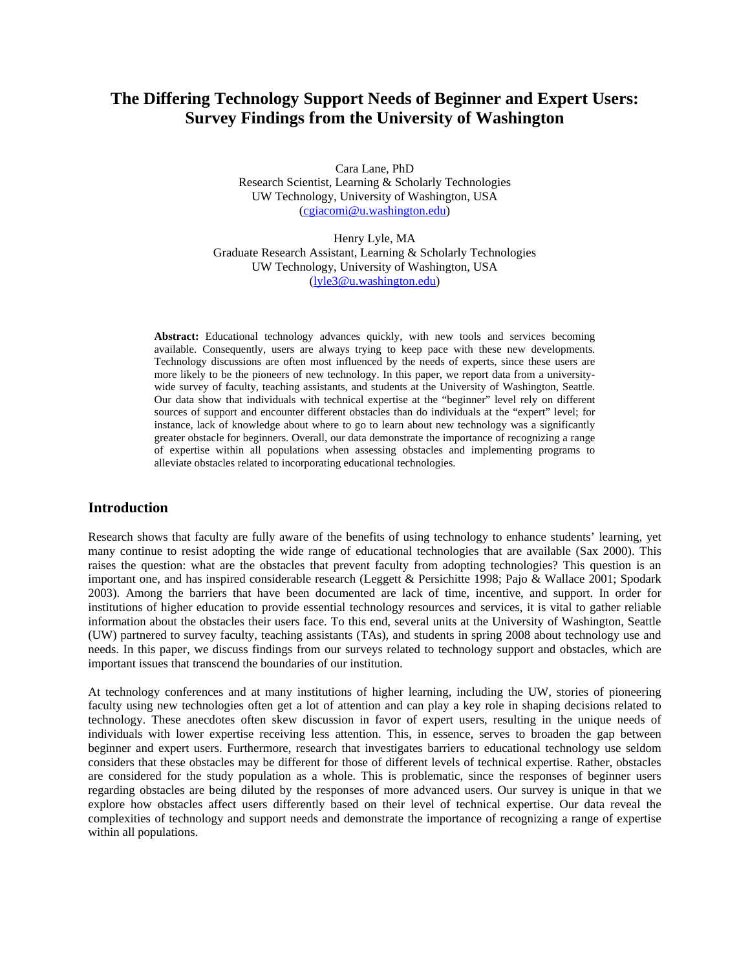# **The Differing Technology Support Needs of Beginner and Expert Users: Survey Findings from the University of Washington**

Cara Lane, PhD Research Scientist, Learning & Scholarly Technologies UW Technology, University of Washington, USA (cgiacomi@u.washington.edu)

Henry Lyle, MA Graduate Research Assistant, Learning & Scholarly Technologies UW Technology, University of Washington, USA (lyle3@u.washington.edu)

**Abstract:** Educational technology advances quickly, with new tools and services becoming available. Consequently, users are always trying to keep pace with these new developments. Technology discussions are often most influenced by the needs of experts, since these users are more likely to be the pioneers of new technology. In this paper, we report data from a universitywide survey of faculty, teaching assistants, and students at the University of Washington, Seattle. Our data show that individuals with technical expertise at the "beginner" level rely on different sources of support and encounter different obstacles than do individuals at the "expert" level; for instance, lack of knowledge about where to go to learn about new technology was a significantly greater obstacle for beginners. Overall, our data demonstrate the importance of recognizing a range of expertise within all populations when assessing obstacles and implementing programs to alleviate obstacles related to incorporating educational technologies.

# **Introduction**

Research shows that faculty are fully aware of the benefits of using technology to enhance students' learning, yet many continue to resist adopting the wide range of educational technologies that are available (Sax 2000). This raises the question: what are the obstacles that prevent faculty from adopting technologies? This question is an important one, and has inspired considerable research (Leggett & Persichitte 1998; Pajo & Wallace 2001; Spodark 2003). Among the barriers that have been documented are lack of time, incentive, and support. In order for institutions of higher education to provide essential technology resources and services, it is vital to gather reliable information about the obstacles their users face. To this end, several units at the University of Washington, Seattle (UW) partnered to survey faculty, teaching assistants (TAs), and students in spring 2008 about technology use and needs. In this paper, we discuss findings from our surveys related to technology support and obstacles, which are important issues that transcend the boundaries of our institution.

At technology conferences and at many institutions of higher learning, including the UW, stories of pioneering faculty using new technologies often get a lot of attention and can play a key role in shaping decisions related to technology. These anecdotes often skew discussion in favor of expert users, resulting in the unique needs of individuals with lower expertise receiving less attention. This, in essence, serves to broaden the gap between beginner and expert users. Furthermore, research that investigates barriers to educational technology use seldom considers that these obstacles may be different for those of different levels of technical expertise. Rather, obstacles are considered for the study population as a whole. This is problematic, since the responses of beginner users regarding obstacles are being diluted by the responses of more advanced users. Our survey is unique in that we explore how obstacles affect users differently based on their level of technical expertise. Our data reveal the complexities of technology and support needs and demonstrate the importance of recognizing a range of expertise within all populations.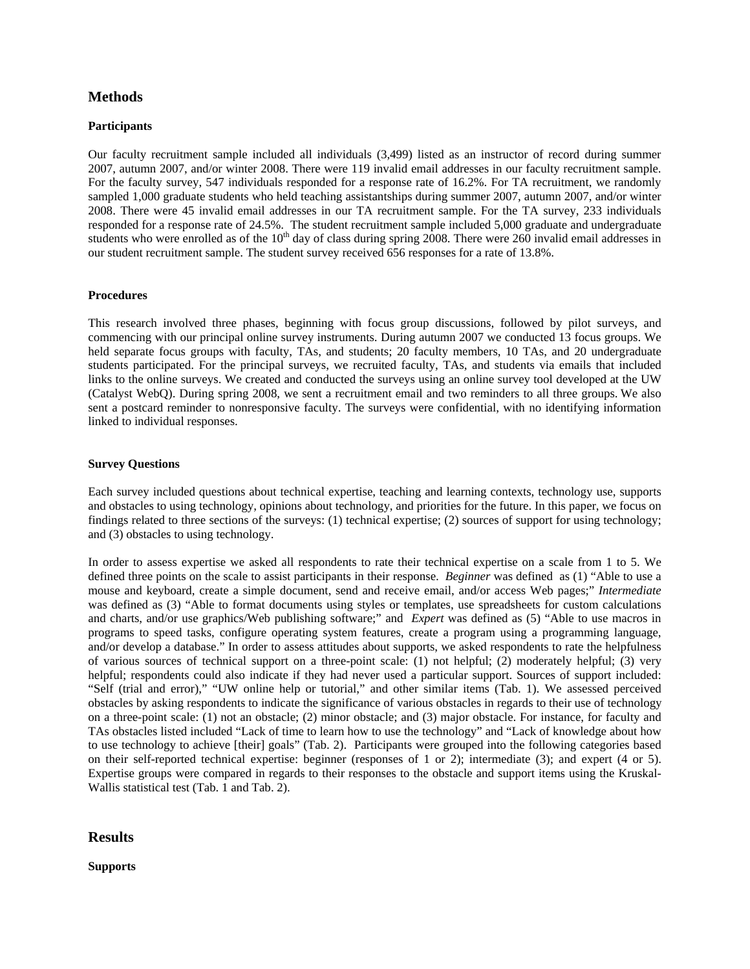# **Methods**

#### **Participants**

Our faculty recruitment sample included all individuals (3,499) listed as an instructor of record during summer 2007, autumn 2007, and/or winter 2008. There were 119 invalid email addresses in our faculty recruitment sample. For the faculty survey, 547 individuals responded for a response rate of 16.2%. For TA recruitment, we randomly sampled 1,000 graduate students who held teaching assistantships during summer 2007, autumn 2007, and/or winter 2008. There were 45 invalid email addresses in our TA recruitment sample. For the TA survey, 233 individuals responded for a response rate of 24.5%. The student recruitment sample included 5,000 graduate and undergraduate students who were enrolled as of the  $10<sup>th</sup>$  day of class during spring 2008. There were 260 invalid email addresses in our student recruitment sample. The student survey received 656 responses for a rate of 13.8%.

#### **Procedures**

This research involved three phases, beginning with focus group discussions, followed by pilot surveys, and commencing with our principal online survey instruments. During autumn 2007 we conducted 13 focus groups. We held separate focus groups with faculty, TAs, and students; 20 faculty members, 10 TAs, and 20 undergraduate students participated. For the principal surveys, we recruited faculty, TAs, and students via emails that included links to the online surveys. We created and conducted the surveys using an online survey tool developed at the UW (Catalyst WebQ). During spring 2008, we sent a recruitment email and two reminders to all three groups. We also sent a postcard reminder to nonresponsive faculty. The surveys were confidential, with no identifying information linked to individual responses.

#### **Survey Questions**

Each survey included questions about technical expertise, teaching and learning contexts, technology use, supports and obstacles to using technology, opinions about technology, and priorities for the future. In this paper, we focus on findings related to three sections of the surveys: (1) technical expertise; (2) sources of support for using technology; and (3) obstacles to using technology.

In order to assess expertise we asked all respondents to rate their technical expertise on a scale from 1 to 5. We defined three points on the scale to assist participants in their response. *Beginner* was defined as (1) "Able to use a mouse and keyboard, create a simple document, send and receive email, and/or access Web pages;" *Intermediate*  was defined as (3) "Able to format documents using styles or templates, use spreadsheets for custom calculations and charts, and/or use graphics/Web publishing software;" and *Expert* was defined as (5) "Able to use macros in programs to speed tasks, configure operating system features, create a program using a programming language, and/or develop a database." In order to assess attitudes about supports, we asked respondents to rate the helpfulness of various sources of technical support on a three-point scale: (1) not helpful; (2) moderately helpful; (3) very helpful; respondents could also indicate if they had never used a particular support. Sources of support included: "Self (trial and error)," "UW online help or tutorial," and other similar items (Tab. 1). We assessed perceived obstacles by asking respondents to indicate the significance of various obstacles in regards to their use of technology on a three-point scale: (1) not an obstacle; (2) minor obstacle; and (3) major obstacle. For instance, for faculty and TAs obstacles listed included "Lack of time to learn how to use the technology" and "Lack of knowledge about how to use technology to achieve [their] goals" (Tab. 2). Participants were grouped into the following categories based on their self-reported technical expertise: beginner (responses of 1 or 2); intermediate (3); and expert (4 or 5). Expertise groups were compared in regards to their responses to the obstacle and support items using the Kruskal-Wallis statistical test (Tab. 1 and Tab. 2).

## **Results**

## **Supports**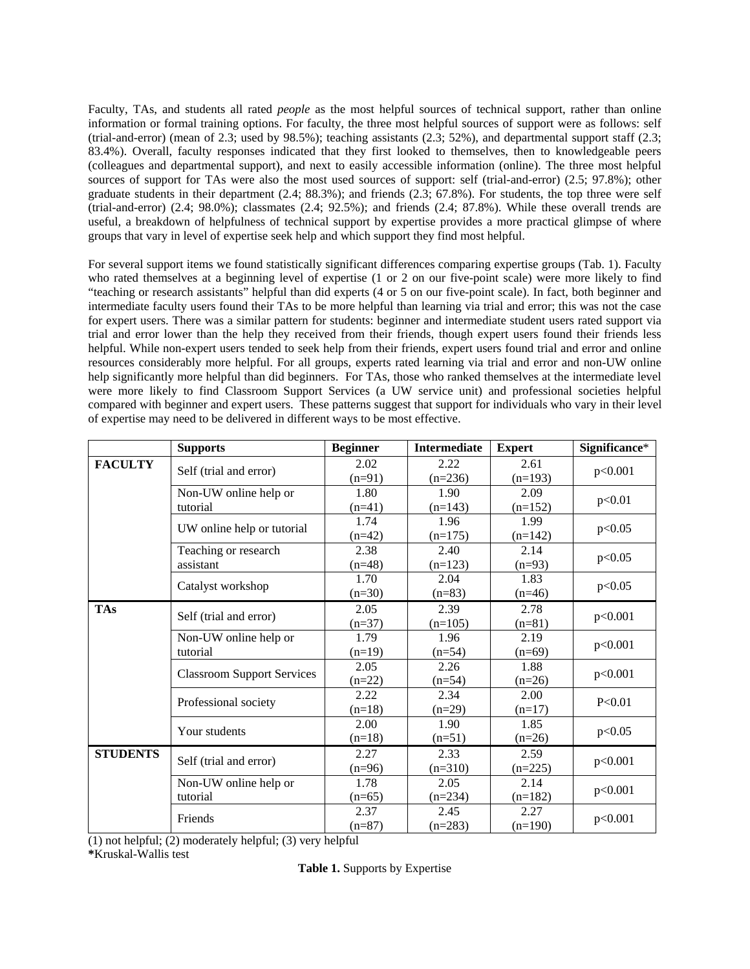Faculty, TAs, and students all rated *people* as the most helpful sources of technical support, rather than online information or formal training options. For faculty, the three most helpful sources of support were as follows: self (trial-and-error) (mean of 2.3; used by 98.5%); teaching assistants  $(2.\overline{3}; 52\%)$ , and departmental support staff  $(2.3;$ 83.4%). Overall, faculty responses indicated that they first looked to themselves, then to knowledgeable peers (colleagues and departmental support), and next to easily accessible information (online). The three most helpful sources of support for TAs were also the most used sources of support: self (trial-and-error) (2.5; 97.8%); other graduate students in their department (2.4; 88.3%); and friends (2.3; 67.8%). For students, the top three were self (trial-and-error)  $(2.4; 98.0\%)$ ; classmates  $(2.4; 92.5\%)$ ; and friends  $(2.4; 87.8\%)$ . While these overall trends are useful, a breakdown of helpfulness of technical support by expertise provides a more practical glimpse of where groups that vary in level of expertise seek help and which support they find most helpful.

For several support items we found statistically significant differences comparing expertise groups (Tab. 1). Faculty who rated themselves at a beginning level of expertise (1 or 2 on our five-point scale) were more likely to find "teaching or research assistants" helpful than did experts (4 or 5 on our five-point scale). In fact, both beginner and intermediate faculty users found their TAs to be more helpful than learning via trial and error; this was not the case for expert users. There was a similar pattern for students: beginner and intermediate student users rated support via trial and error lower than the help they received from their friends, though expert users found their friends less helpful. While non-expert users tended to seek help from their friends, expert users found trial and error and online resources considerably more helpful. For all groups, experts rated learning via trial and error and non-UW online help significantly more helpful than did beginners. For TAs, those who ranked themselves at the intermediate level were more likely to find Classroom Support Services (a UW service unit) and professional societies helpful compared with beginner and expert users. These patterns suggest that support for individuals who vary in their level of expertise may need to be delivered in different ways to be most effective.

|                 | <b>Supports</b>                   | <b>Beginner</b> | <b>Intermediate</b> | <b>Expert</b> | Significance* |
|-----------------|-----------------------------------|-----------------|---------------------|---------------|---------------|
| <b>FACULTY</b>  | Self (trial and error)            | 2.02            | 2.22                | 2.61          | p<0.001       |
|                 |                                   | $(n=91)$        | $(n=236)$           | $(n=193)$     |               |
|                 | Non-UW online help or             | 1.80            | 1.90                | 2.09          |               |
|                 | tutorial                          | $(n=41)$        | $(n=143)$           | $(n=152)$     | p<0.01        |
|                 | UW online help or tutorial        | 1.74            | 1.96                | 1.99          | p<0.05        |
|                 |                                   | $(n=42)$        | $(n=175)$           | $(n=142)$     |               |
|                 | Teaching or research              | 2.38            | 2.40                | 2.14          | p<0.05        |
|                 | assistant                         | $(n=48)$        | $(n=123)$           | $(n=93)$      |               |
|                 | Catalyst workshop                 | 1.70            | 2.04                | 1.83          | p<0.05        |
|                 |                                   | $(n=30)$        | $(n=83)$            | $(n=46)$      |               |
| <b>TAs</b>      | Self (trial and error)            | 2.05            | 2.39                | 2.78          | p<0.001       |
|                 |                                   | $(n=37)$        | $(n=105)$           | $(n=81)$      |               |
|                 | Non-UW online help or             | 1.79            | 1.96                | 2.19          | p<0.001       |
|                 | tutorial                          | $(n=19)$        | $(n=54)$            | $(n=69)$      |               |
|                 | <b>Classroom Support Services</b> | 2.05            | 2.26                | 1.88          | p<0.001       |
|                 |                                   | $(n=22)$        | $(n=54)$            | $(n=26)$      |               |
|                 | Professional society              | 2.22            | 2.34                | 2.00          | P<0.01        |
|                 |                                   | $(n=18)$        | $(n=29)$            | $(n=17)$      |               |
|                 | Your students                     | 2.00            | 1.90                | 1.85          | p<0.05        |
|                 |                                   | $(n=18)$        | $(n=51)$            | $(n=26)$      |               |
| <b>STUDENTS</b> | Self (trial and error)            | 2.27            | 2.33                | 2.59          | p<0.001       |
|                 |                                   | $(n=96)$        | $(n=310)$           | $(n=225)$     |               |
|                 | Non-UW online help or             | 1.78            | 2.05                | 2.14          | p<0.001       |
|                 | tutorial                          | $(n=65)$        | $(n=234)$           | $(n=182)$     |               |
|                 | Friends                           | 2.37            | 2.45                | 2.27          | p<0.001       |
|                 |                                   | $(n=87)$        | $(n=283)$           | $(n=190)$     |               |

(1) not helpful; (2) moderately helpful; (3) very helpful **\***Kruskal-Wallis test

**Table 1.** Supports by Expertise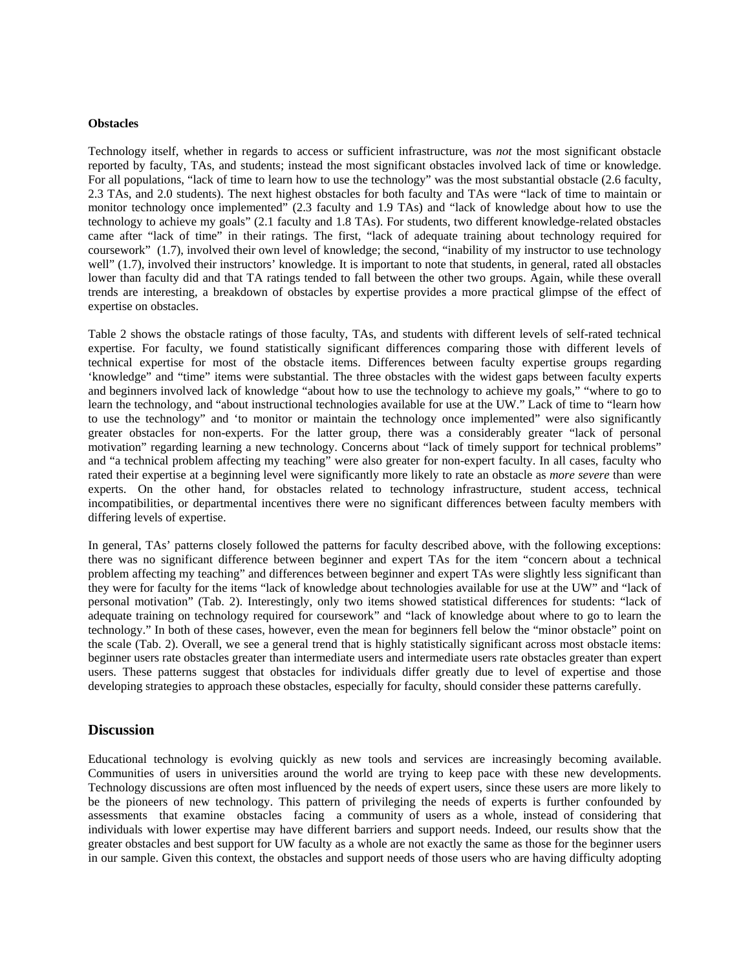#### **Obstacles**

Technology itself, whether in regards to access or sufficient infrastructure, was *not* the most significant obstacle reported by faculty, TAs, and students; instead the most significant obstacles involved lack of time or knowledge. For all populations, "lack of time to learn how to use the technology" was the most substantial obstacle (2.6 faculty, 2.3 TAs, and 2.0 students). The next highest obstacles for both faculty and TAs were "lack of time to maintain or monitor technology once implemented" (2.3 faculty and 1.9 TAs) and "lack of knowledge about how to use the technology to achieve my goals" (2.1 faculty and 1.8 TAs). For students, two different knowledge-related obstacles came after "lack of time" in their ratings. The first, "lack of adequate training about technology required for coursework" (1.7), involved their own level of knowledge; the second, "inability of my instructor to use technology well" (1.7), involved their instructors' knowledge. It is important to note that students, in general, rated all obstacles lower than faculty did and that TA ratings tended to fall between the other two groups. Again, while these overall trends are interesting, a breakdown of obstacles by expertise provides a more practical glimpse of the effect of expertise on obstacles.

Table 2 shows the obstacle ratings of those faculty, TAs, and students with different levels of self-rated technical expertise. For faculty, we found statistically significant differences comparing those with different levels of technical expertise for most of the obstacle items. Differences between faculty expertise groups regarding 'knowledge" and "time" items were substantial. The three obstacles with the widest gaps between faculty experts and beginners involved lack of knowledge "about how to use the technology to achieve my goals," "where to go to learn the technology, and "about instructional technologies available for use at the UW." Lack of time to "learn how to use the technology" and 'to monitor or maintain the technology once implemented" were also significantly greater obstacles for non-experts. For the latter group, there was a considerably greater "lack of personal motivation" regarding learning a new technology. Concerns about "lack of timely support for technical problems" and "a technical problem affecting my teaching" were also greater for non-expert faculty. In all cases, faculty who rated their expertise at a beginning level were significantly more likely to rate an obstacle as *more severe* than were experts. On the other hand, for obstacles related to technology infrastructure, student access, technical incompatibilities, or departmental incentives there were no significant differences between faculty members with differing levels of expertise.

In general, TAs' patterns closely followed the patterns for faculty described above, with the following exceptions: there was no significant difference between beginner and expert TAs for the item "concern about a technical problem affecting my teaching" and differences between beginner and expert TAs were slightly less significant than they were for faculty for the items "lack of knowledge about technologies available for use at the UW" and "lack of personal motivation" (Tab. 2). Interestingly, only two items showed statistical differences for students: "lack of adequate training on technology required for coursework" and "lack of knowledge about where to go to learn the technology." In both of these cases, however, even the mean for beginners fell below the "minor obstacle" point on the scale (Tab. 2). Overall, we see a general trend that is highly statistically significant across most obstacle items: beginner users rate obstacles greater than intermediate users and intermediate users rate obstacles greater than expert users. These patterns suggest that obstacles for individuals differ greatly due to level of expertise and those developing strategies to approach these obstacles, especially for faculty, should consider these patterns carefully.

## **Discussion**

Educational technology is evolving quickly as new tools and services are increasingly becoming available. Communities of users in universities around the world are trying to keep pace with these new developments. Technology discussions are often most influenced by the needs of expert users, since these users are more likely to be the pioneers of new technology. This pattern of privileging the needs of experts is further confounded by assessments that examine obstacles facing a community of users as a whole, instead of considering that individuals with lower expertise may have different barriers and support needs. Indeed, our results show that the greater obstacles and best support for UW faculty as a whole are not exactly the same as those for the beginner users in our sample. Given this context, the obstacles and support needs of those users who are having difficulty adopting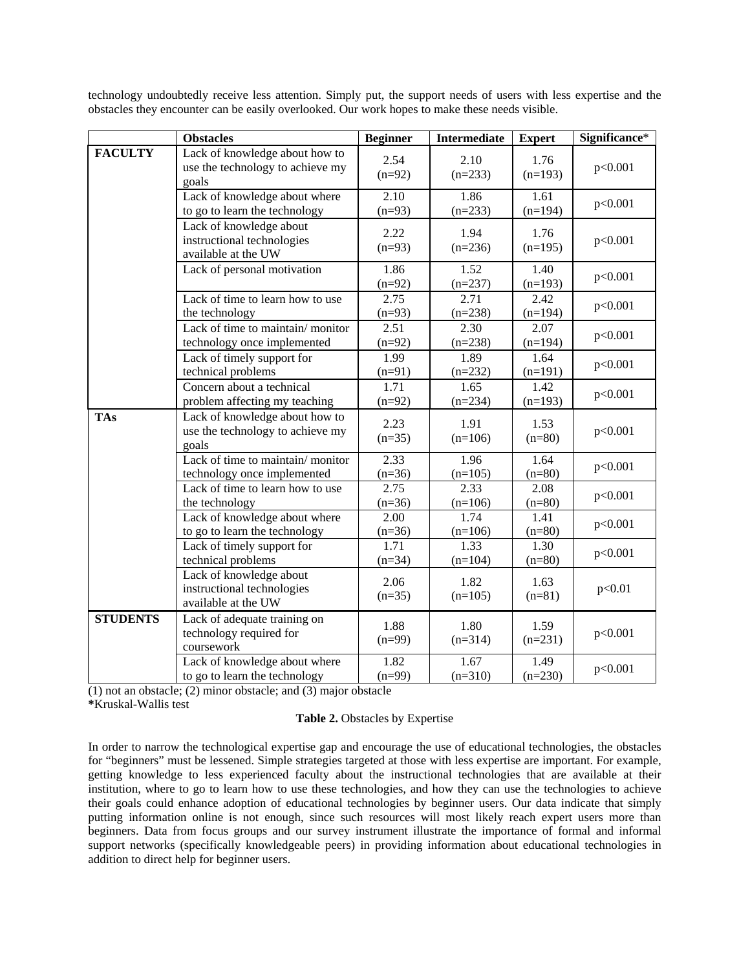|                 | <b>Obstacles</b>                                                             | <b>Beginner</b>  | <b>Intermediate</b> | <b>Expert</b>     | Significance* |
|-----------------|------------------------------------------------------------------------------|------------------|---------------------|-------------------|---------------|
| <b>FACULTY</b>  | Lack of knowledge about how to<br>use the technology to achieve my<br>goals  | 2.54<br>$(n=92)$ | 2.10<br>$(n=233)$   | 1.76<br>$(n=193)$ | p<0.001       |
|                 | Lack of knowledge about where<br>to go to learn the technology               | 2.10<br>$(n=93)$ | 1.86<br>$(n=233)$   | 1.61<br>$(n=194)$ | p<0.001       |
|                 | Lack of knowledge about<br>instructional technologies<br>available at the UW | 2.22<br>$(n=93)$ | 1.94<br>$(n=236)$   | 1.76<br>$(n=195)$ | p<0.001       |
|                 | Lack of personal motivation                                                  | 1.86<br>$(n=92)$ | 1.52<br>$(n=237)$   | 1.40<br>$(n=193)$ | p<0.001       |
|                 | Lack of time to learn how to use<br>the technology                           | 2.75<br>$(n=93)$ | 2.71<br>$(n=238)$   | 2.42<br>$(n=194)$ | p<0.001       |
|                 | Lack of time to maintain/monitor<br>technology once implemented              | 2.51<br>$(n=92)$ | 2.30<br>$(n=238)$   | 2.07<br>$(n=194)$ | p<0.001       |
|                 | Lack of timely support for<br>technical problems                             | 1.99<br>$(n=91)$ | 1.89<br>$(n=232)$   | 1.64<br>$(n=191)$ | p<0.001       |
|                 | Concern about a technical<br>problem affecting my teaching                   | 1.71<br>$(n=92)$ | 1.65<br>$(n=234)$   | 1.42<br>$(n=193)$ | p<0.001       |
| <b>TAs</b>      | Lack of knowledge about how to<br>use the technology to achieve my<br>goals  | 2.23<br>$(n=35)$ | 1.91<br>$(n=106)$   | 1.53<br>$(n=80)$  | p<0.001       |
|                 | Lack of time to maintain/monitor<br>technology once implemented              | 2.33<br>$(n=36)$ | 1.96<br>$(n=105)$   | 1.64<br>$(n=80)$  | p<0.001       |
|                 | Lack of time to learn how to use<br>the technology                           | 2.75<br>$(n=36)$ | 2.33<br>$(n=106)$   | 2.08<br>$(n=80)$  | p<0.001       |
|                 | Lack of knowledge about where<br>to go to learn the technology               | 2.00<br>$(n=36)$ | 1.74<br>$(n=106)$   | 1.41<br>$(n=80)$  | p<0.001       |
|                 | Lack of timely support for<br>technical problems                             | 1.71<br>$(n=34)$ | 1.33<br>$(n=104)$   | 1.30<br>$(n=80)$  | p<0.001       |
|                 | Lack of knowledge about<br>instructional technologies<br>available at the UW | 2.06<br>$(n=35)$ | 1.82<br>$(n=105)$   | 1.63<br>$(n=81)$  | p<0.01        |
| <b>STUDENTS</b> | Lack of adequate training on<br>technology required for<br>coursework        | 1.88<br>$(n=99)$ | 1.80<br>$(n=314)$   | 1.59<br>$(n=231)$ | p<0.001       |
|                 | Lack of knowledge about where<br>to go to learn the technology               | 1.82<br>$(n=99)$ | 1.67<br>$(n=310)$   | 1.49<br>$(n=230)$ | p<0.001       |

technology undoubtedly receive less attention. Simply put, the support needs of users with less expertise and the obstacles they encounter can be easily overlooked. Our work hopes to make these needs visible.

(1) not an obstacle; (2) minor obstacle; and (3) major obstacle

**\***Kruskal-Wallis test

#### **Table 2.** Obstacles by Expertise

In order to narrow the technological expertise gap and encourage the use of educational technologies, the obstacles for "beginners" must be lessened. Simple strategies targeted at those with less expertise are important. For example, getting knowledge to less experienced faculty about the instructional technologies that are available at their institution, where to go to learn how to use these technologies, and how they can use the technologies to achieve their goals could enhance adoption of educational technologies by beginner users. Our data indicate that simply putting information online is not enough, since such resources will most likely reach expert users more than beginners. Data from focus groups and our survey instrument illustrate the importance of formal and informal support networks (specifically knowledgeable peers) in providing information about educational technologies in addition to direct help for beginner users.